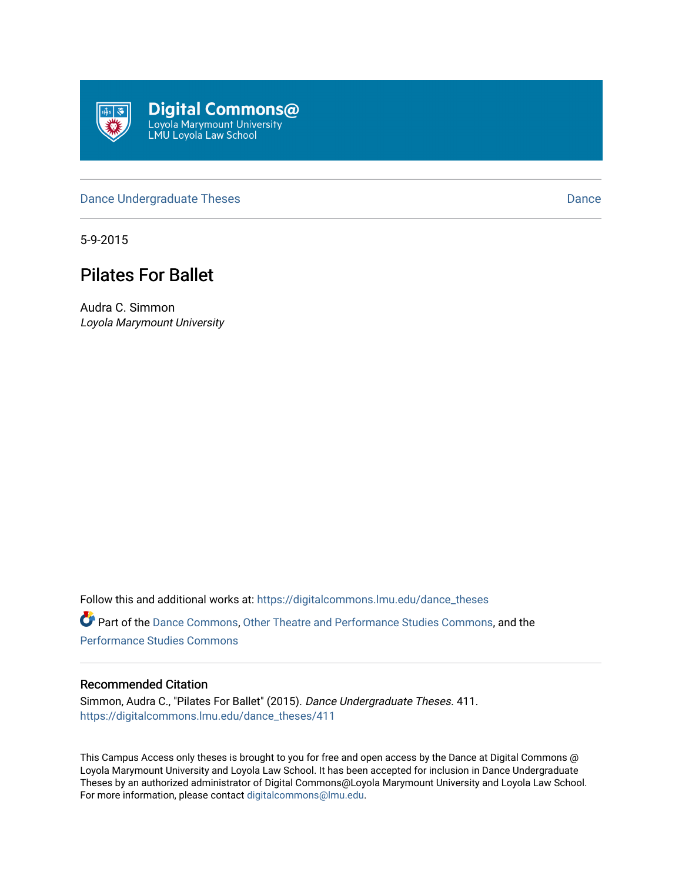

#### [Dance Undergraduate Theses](https://digitalcommons.lmu.edu/dance_theses) [Dance](https://digitalcommons.lmu.edu/dance) Dance Dance Dance

5-9-2015

# Pilates For Ballet

Audra C. Simmon Loyola Marymount University

Follow this and additional works at: [https://digitalcommons.lmu.edu/dance\\_theses](https://digitalcommons.lmu.edu/dance_theses?utm_source=digitalcommons.lmu.edu%2Fdance_theses%2F411&utm_medium=PDF&utm_campaign=PDFCoverPages) Part of the [Dance Commons,](http://network.bepress.com/hgg/discipline/554?utm_source=digitalcommons.lmu.edu%2Fdance_theses%2F411&utm_medium=PDF&utm_campaign=PDFCoverPages) [Other Theatre and Performance Studies Commons,](http://network.bepress.com/hgg/discipline/558?utm_source=digitalcommons.lmu.edu%2Fdance_theses%2F411&utm_medium=PDF&utm_campaign=PDFCoverPages) and the [Performance Studies Commons](http://network.bepress.com/hgg/discipline/556?utm_source=digitalcommons.lmu.edu%2Fdance_theses%2F411&utm_medium=PDF&utm_campaign=PDFCoverPages) 

#### Recommended Citation

Simmon, Audra C., "Pilates For Ballet" (2015). Dance Undergraduate Theses. 411. [https://digitalcommons.lmu.edu/dance\\_theses/411](https://digitalcommons.lmu.edu/dance_theses/411?utm_source=digitalcommons.lmu.edu%2Fdance_theses%2F411&utm_medium=PDF&utm_campaign=PDFCoverPages)

This Campus Access only theses is brought to you for free and open access by the Dance at Digital Commons @ Loyola Marymount University and Loyola Law School. It has been accepted for inclusion in Dance Undergraduate Theses by an authorized administrator of Digital Commons@Loyola Marymount University and Loyola Law School. For more information, please contact [digitalcommons@lmu.edu.](mailto:digitalcommons@lmu.edu)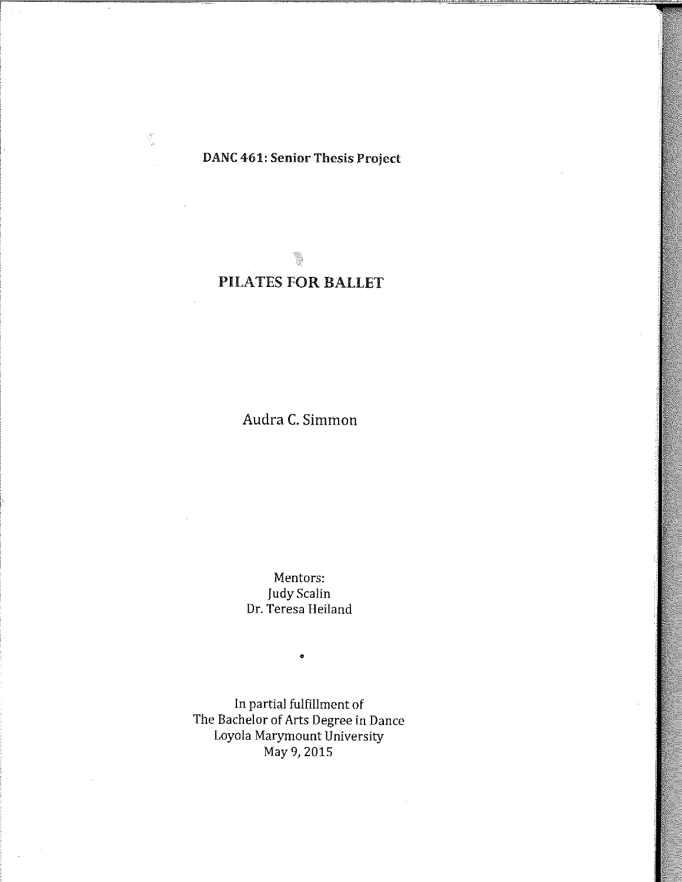## DANC 461: Senior Thesis Project

 $\zeta^{\mu}_{\nu}$ 

## PILATES FOR BALLET

Audra C. Simmon

Mentors: Judy Scalin Dr. Teresa Heiland

•

In partial fulfillment of The Bachelor of Arts Degree in Dance Loyola Marymount University May 9, 2015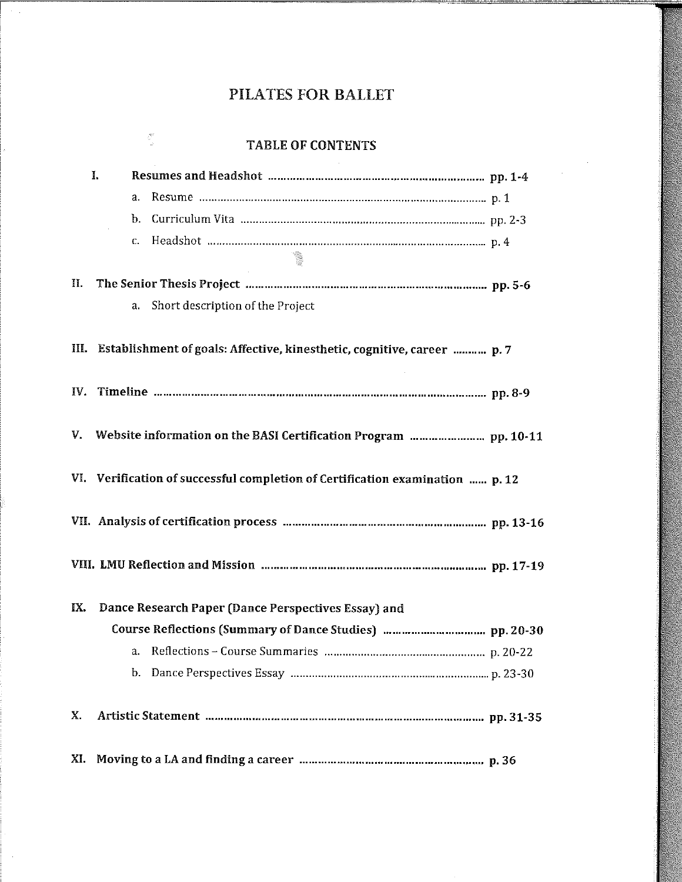$\sim$   $\sim$ 

|     | <b>TABLE OF CONTENTS</b>                                                      |
|-----|-------------------------------------------------------------------------------|
|     | I.                                                                            |
|     | $a$ .                                                                         |
|     | b.                                                                            |
|     | C.                                                                            |
|     | $\mathbb{R}^n$                                                                |
| П.  |                                                                               |
|     | Short description of the Project<br>a.                                        |
|     |                                                                               |
| Ш.  | Establishment of goals: Affective, kinesthetic, cognitive, career  p. 7       |
|     |                                                                               |
| IV. |                                                                               |
|     |                                                                               |
| V.  |                                                                               |
|     |                                                                               |
|     | VI. Verification of successful completion of Certification examination  p. 12 |
|     |                                                                               |
|     |                                                                               |
|     |                                                                               |
|     |                                                                               |
| IX. | Dance Research Paper (Dance Perspectives Essay) and                           |
|     |                                                                               |
|     | a.                                                                            |
|     | b.                                                                            |
|     |                                                                               |
| Х.  | Artistic Statement management management was management management pp. 31-35  |
|     |                                                                               |
| XI. |                                                                               |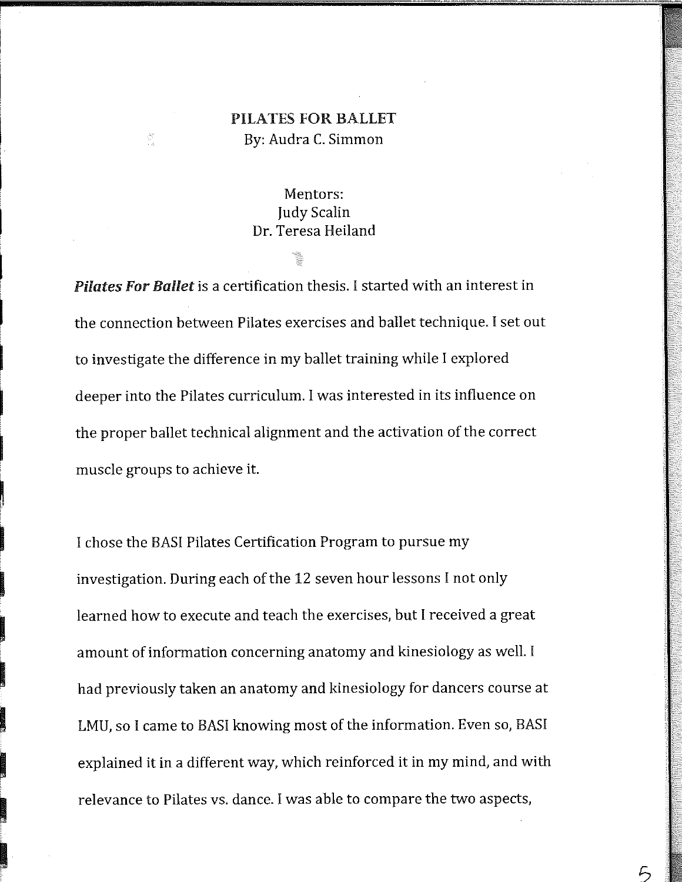## PILATES FOR BALLET By: Audra C. Simmon

## Mentors: Judy Scalin Dr. Teresa Heiland

 $\mathbf{I}$ 

 $\begin{aligned} \frac{\partial \mathcal{D}}{\partial \mathcal{D}} \\ \frac{\partial \mathcal{D}}{\partial \mathcal{D}} \end{aligned}$ 

I

**International Contract of Contract of Contract of Contract of Contract of Contract of Contract of Contract of** 

i<br>International Company<br>International Company<br>International Company<br>International Company<br>International Company<br>International Company<br>International Company<br>International Company

**International Communication**<br>International Communication<br>International Communication

i<br>International Property (1980)<br>International Property (1980)

~

**In the contract of the contract of the contract of the contract of the contract of the contract of the contract of the contract of the contract of the contract of the contract of the contract of the contract of the contra** 

**In the company of the company of the company of the company of the company of the company of the company of th** 

**I** 

i<br>India<br>India

**In the case of the case of the case of the case of the case of the case of the case of the case of the case of** 

**In the contract of the contract of the contract of the contract of the contract of the contract of the contract of the contract of the contract of the contract of the contract of the contract of the contract of the contra** 

**In the contract of the contract of the contract of the contract of the contract of the contract of the contract of the contract of the contract of the contract of the contract of the contract of the contract of the contra** 

**Income of the Community of the Community of the Community of the Community of the Community of the Community** 

*Pilates For Ballet* is a certification thesis. I started with an interest in the connection between Pilates exercises and ballet technique. I set out to investigate the difference in my ballet training while I explored deeper into the Pilates curriculum. I was interested in its influence on the proper ballet technical alignment and the activation of the correct muscle groups to achieve it.

I chose the BASI Pilates Certification Program to pursue my investigation. During each of the 12 seven hour lessons I not only learned how to execute and teach the exercises, but I received a great amount of information concerning anatomy and kinesiology as well. I had previously taken an anatomy and kinesiology for dancers course at LMU, so I came to BASI knowing most of the information. Even so, BASI explained it in a different way, which reinforced it in my mind, and with relevance to Pilates vs. dance. I was able to compare the two aspects,

 $5<sup>1</sup>$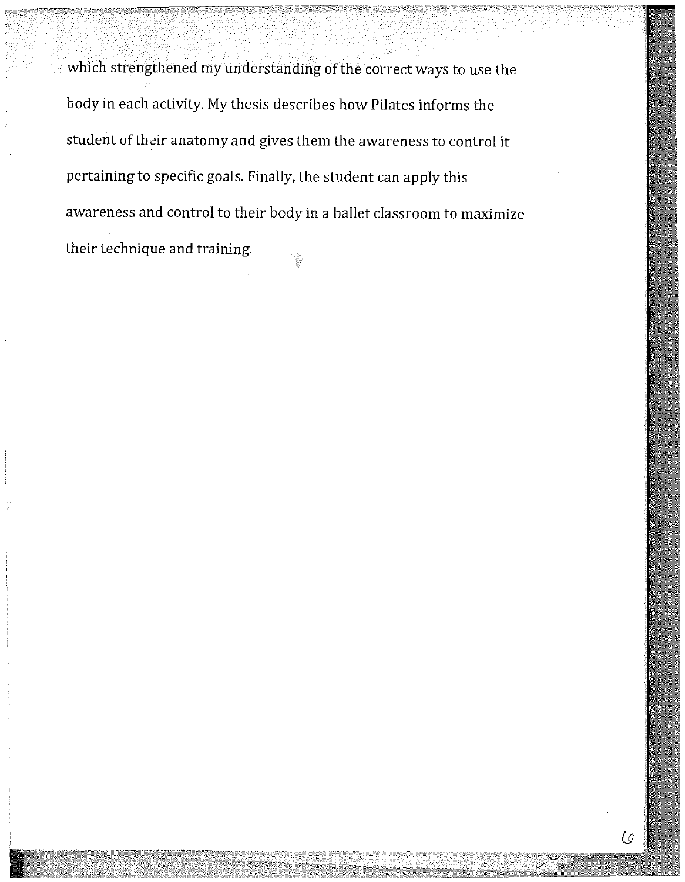which strengthened my understanding of the correct ways to use the body in each activity. My thesis describes how Pilates informs the student of their anatomy and gives them the awareness to control it pertaining to specific goals. Finally, the student can apply this awareness and control to their body in a ballet classroom to maximize their technique and training.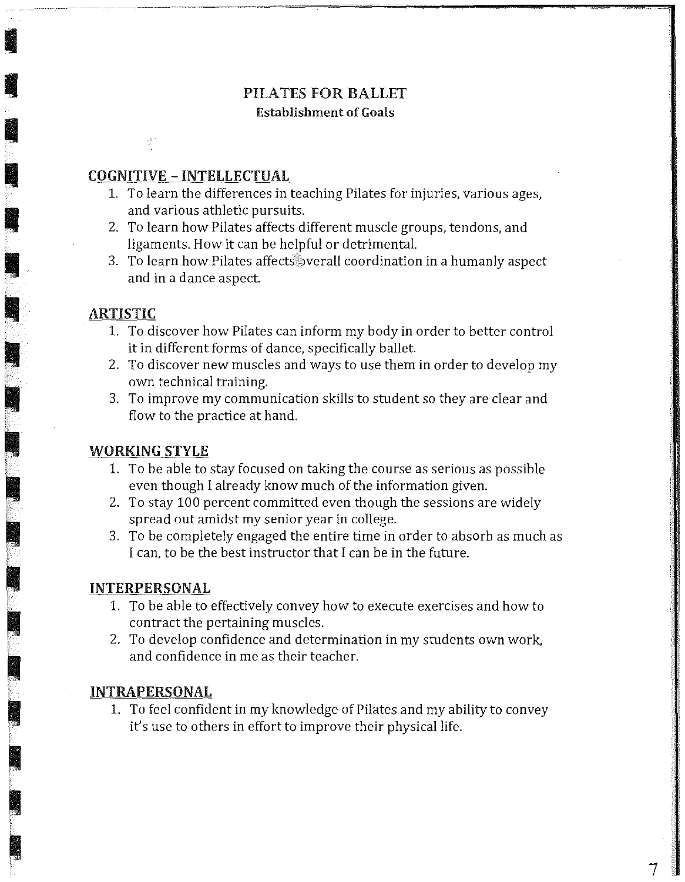## PILATES FOR BALLET Establishment of Goals

#### COGNITIVE - INTELLECTUAL

- 1. To learn the differences in teaching Pilates for injuries, various ages, and various athletic pursuits.
- 2. To learn how Pilates affects different muscle groups, tendons, and ligaments. How it can be helpful or detrimental.
- 3. To learn how Pilates affects pverall coordination in a humanly aspect and in a dance aspect

#### ARTISTIC

**I** 

•

•

•

•

I

**in** 

**III** 

' *i* 

~

I

 $\sum_{i=1}^{n}$ 

 $\sim$   $\sim$ 

~~~

-

**Income of the Communication** 

**Income of the Communication** 

**Income of the Communist Street** 

~.

- 1. To discover how Pilates can inform my body in order to better control it in different forms of dance, specifically ballet
- 2. To discover new muscles and ways to use them in order to develop my own technical training.
- 3. To improve my communication skills to student so they are clear and flow to the practice at hand.

#### **WORKING STYLE**

- 1. To be able to stay focused on taking the course as serious as possible even though I already know much of the information given.
- 2. To stay 100 percent committed even though the sessions are widely spread out amidst my senior year in college.
- 3. To be completely engaged the entire time in order to absorb as much as l can, to be the best instructor that I can be in the future.

#### **INTERPERSONAL**

- 1. To be able to effectively convey how to execute exercises and how to contract the pertaining muscles.
- 2. To develop confidence and determination in my students own work, and confidence in me as their teacher.

#### **INTRAPERSONAL**

1. To feel confident in my knowledge of Pilates and my ability to convey it's use to others in effort to improve their physical life.

7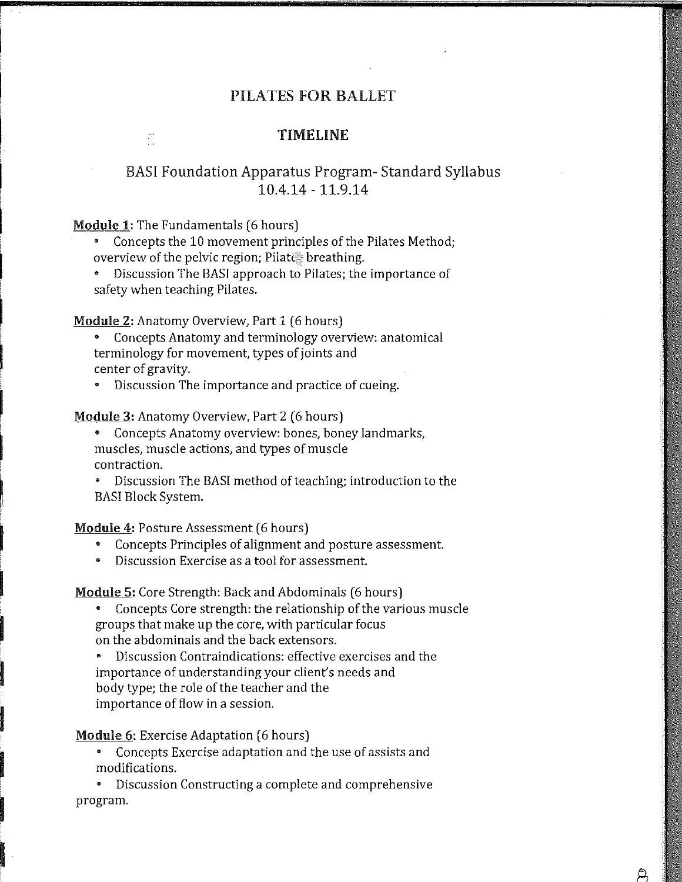#### **TlMELINE**

## BAS! Foundation Apparatus Program- Standard Syllabus 10.4.14 - 11.9.14

**Module 1:** The Fundamentals (6 hours)

 $\widehat{\mathbb{S}}^n$ 

• Concepts the 10 movement principles of the Pilates Method; overview of the pelvic region; Pilate breathing.

• Discussion The BAS! approach to Pilates; the importance of safety when teaching Pilates.

Module 2: Anatomy Overview, Part 1 (6 hours)

• Concepts Anatomy and terminology overview: anatomical terminology for movement, types of joints and center of gravity.

• Discussion The importance and practice of cueing.

**Module 3:** Anatomy Overview, Part 2 (6 hours)

• Concepts Anatomy overview: bones, boney landmarks, muscles, muscle actions, and types of muscle contraction.

• Discussion The BAS! method of teaching; introduction to the BAS! Block System.

**Module 4:** Posture Assessment (6 hours)

**In the company** 

**I** 

i<br>India<br>India

**Includes** 

i da kasance a kasance a kasance a kasance a kasance a kasance a kasance a kasance a kasance a kasance a kasan<br>Ing pangangan a kasance a kasance a kasance a kasance a kasance a kasance a kasance a kasance a kasance a kasa

**Indiana** 

**International Control** 

**External of the Company** 

• Concepts Principles of alignment and posture assessment.

• Discussion Exercise as a tool for assessment.

**Module 5:** Core Strength: Back and Abdominals (6 hours)

• Concepts Core strength: the relationship of the various muscle groups that make up the core, with particular focus on the abdominals and the back extensors.

• Discussion Contraindications: effective exercises and the importance of understanding your client's needs and body type; the role of the teacher and the importance of flow in a session.

**Module 6:** Exercise Adaptation (6 hours)

• Concepts Exercise adaptation and the use of assists and modifications.

 $\varphi$ 

• Discussion Constructing a complete and comprehensive program.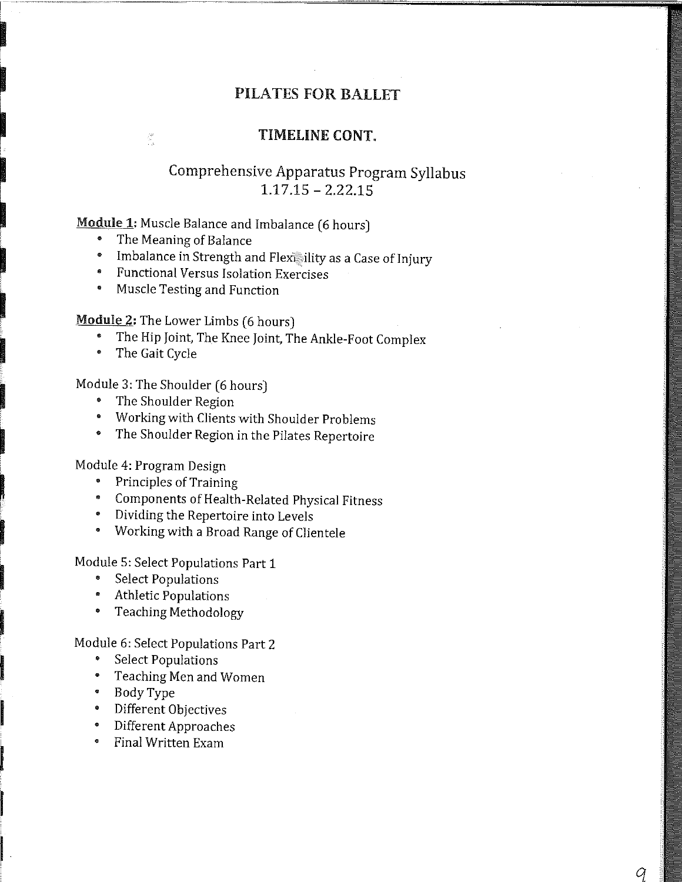#### TIMELINE CONT.

## Comprehensive Apparatus Program Syllabus 1.17.15 - 2.22.15

## Module 1: Muscle Balance and Imbalance (6 hours)

• The Meaning of Balance

 $\frac{\partial B}{\partial t}$ 

- Imbalance in Strength and Flexicility as a Case of Injury
- Functional Versus Isolation Exercises
- Muscle Testing and Function

**Module 2:** The Lower Limbs (6 hours)

- The Hip Joint, The Knee Joint, The Ankle-Foot Complex
- The Gait Cycle

**In the case of the case of the case of the case of the case of the case of the case of the case of the case o** 

**I** 

!<br>! ~

~

**International Communist Communist Communist Communist Communist Communist Communist Communist Communist Communist Communist Communist Communist Communist Communist Communist Communist Communist Communist Communist Communi** 

**In the contract of the contract of the contract of the contract of the contract of the contract of the contract of the contract of the contract of the contract of the contract of the contract of the contract of the contra** 

**Includes** 

**In the contract of the contract of the contract of the contract of the contract of the contract of the contract of the contract of the contract of the contract of the contract of the contract of the contract of the contra** 

**In the contract of the contract of the contract of the contract of the contract of the contract of the contract of the contract of the contract of the contract of the contract of the contract of the contract of the contra** 

**Internet** 

~

**In the company of the company of the company of the company of the company of the company of the company of th** 

**I** 

**International Contract of Contract of Contract of Contract of Contract of Contract of Contract of Contract of** 

i<br>India<br>I amatan

i<br>I Septembris<br>I Septembris

**Incomediate** 

**I** 

Module 3: The Shoulder (6 hours)

- The Shoulder Region
- Working with Clients with Shoulder Problems
- The Shoulder Region in the Pilates Repertoire

Module 4: Program Design

- Principles of Training
- Components of Health-Related Physical Fitness
- Dividing the Repertoire into Levels
- Working with a Broad Range of Clientele

Module 5: Select Populations Part 1

- Select Populations
- Athletic Populations
- Teaching Methodology

Module 6: Select Populations Part 2

- Select Populations
- Teaching Men and Women
- BodyType
- Different Objectives
- Different Approaches
- Final Written Exam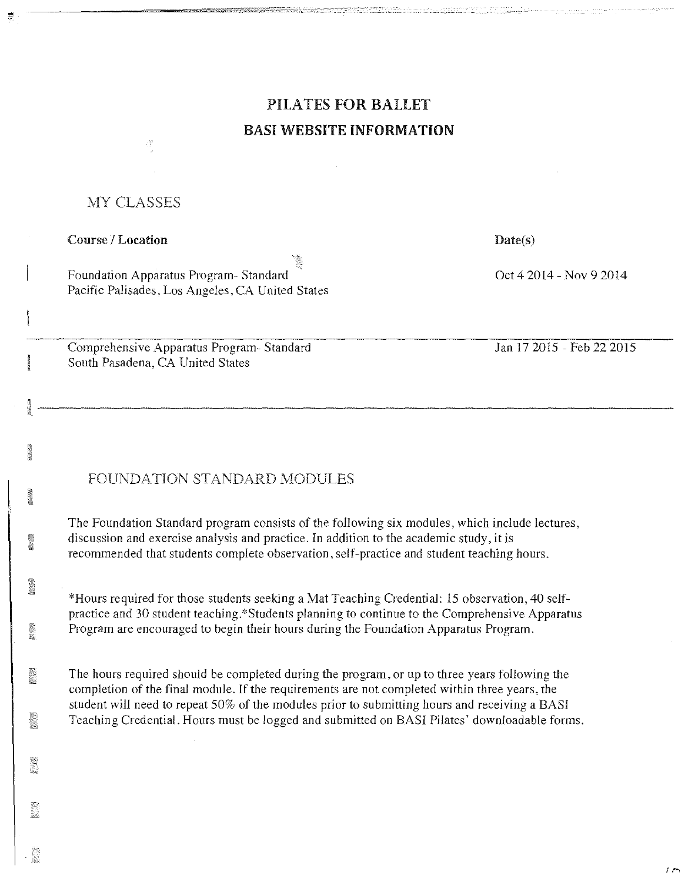# **PILATES FOR BALLET BASI WEBSITE INFORMATION**

### MY CLASSES

#### Course / Location

I

Foundation Apparatus Program- Standard Pacific Palisades. Los Angeles, CA United States

Comprehensive Apparatus Program- Standard South Pasadena, CA United States

**Date(s)** 

Oct 4 2014 - Nov 9 2014

Jan 17 2015 - Feb 22 2015

 $\sqrt{ }$ 

## FOUNDATION STANDARD MODULES

The Foundation Standard program consists of the following six modules, which include lectures, discussion and exercise analysis and practice. In addition to the academic study, it is recommended that students complete observation, self-practice and student teaching hours.

\*Hours required for those students seeking a Mat Teaching Credential: 15 observation, 40 selfpractice and 30 student teaching.\*Students planning to continue to the Comprehensive Apparatus Program are encouraged to begin their hours during the Foundation Apparatus Program.

The hours required should be completed during the program, or up to three years following the completion of the final module. If the requirements are not completed within three years, the student will need to repeat 50% of the modules prior to submitting hours and receiving a BAS! Teaching Credential. Hours must be logged and submitted on BASI Pilates' downloadable forms.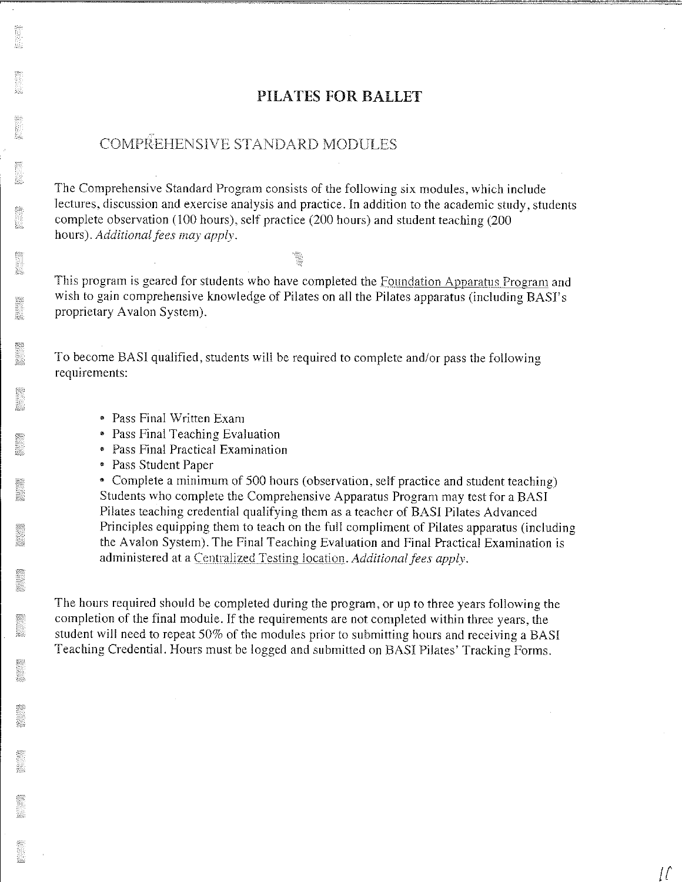## COMPREHENSIVE STANDARD MODULES

The Comprehensive Standard Program consists of the following six modules, which include lectures, discussion and exercise analysis and practice. In addition to the academic study, students complete observation (100 hours), self practice (200 hours) and student teaching (200 hours). *Additional fees may apply.* 

This program is geared for students who have completed the Foundation Apparatus Program and wish to gain comprehensive knowledge of Pilates on all the Pilates apparatus (including BASI's proprietary Avalon System).

To become BAS! qualified, students will be required to complete and/or pass the following requirements:

- Pass Final Written Exam
- Pass Final Teaching Evaluation
- Pass Final Practical Examination
- Pass Student Paper

• Complete a minimum of 500 hours (observation, self practice and student teaching) Students who complete the Comprehensive Apparatus Program may test for a BAS! Pilates teaching credential qualifying them as a teacher of BAS! Pilates Advanced Principles equipping them to teach on the full compliment of Pilates apparatus (including the Avalon System). The Final Teaching Evaluation and Final Practical Examination is administered at a Centralized Testing location. *Additional fees apply*,

*[{* 

The hours required should be completed during the program, or up to three years following the completion of the final module. If the requirements are not completed within three years, the student will need to repeat 50% of the modules prior to submitting hours and receiving a BASI Teaching Credential. Hours must be logged and submitted on BASI Pilates' Tracking Forms.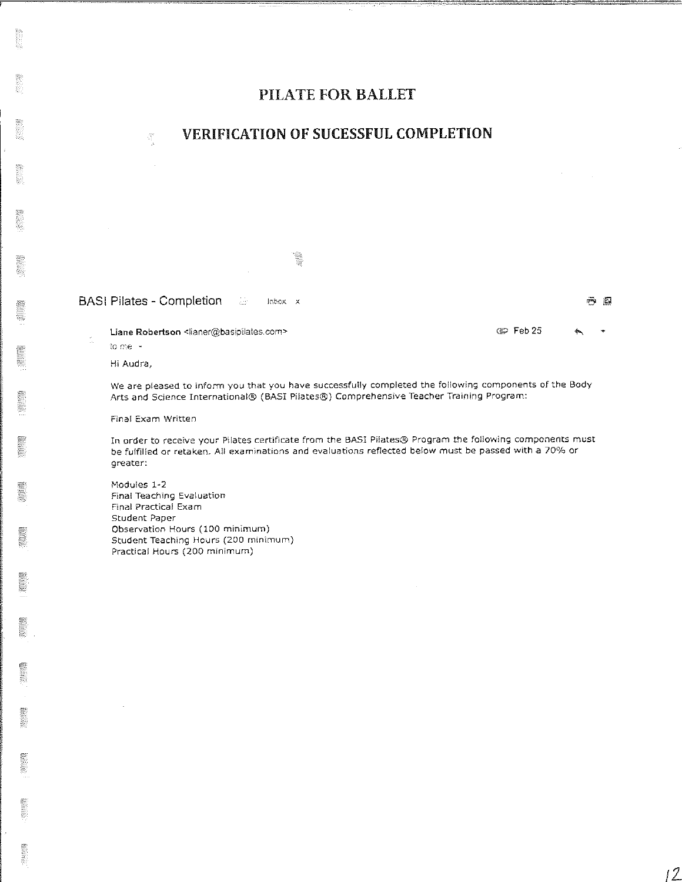#### **VERIFICATION OF SUCESSFUL COMPLETION**

Ŵ.

#### BASI Pilates - Completion άż Inbox x

Liane **Robertson** <lianer@basipilates.com> **District in the Contract of Feb 25** 

to me -

Hi Audra,

We are p[eased to inform you that you have successfully completed the following components of the Body Arts and Science International® (BASI Pilates®) Comprehensive Teacher Training Program:

Final Exam Written

 $\hat{\gamma}^{\rm sc}_i$ 

In order to receive your Pilates certificate from the BASI Pilates® Program the following components must be fulfilled or retaken. All examinations and evaluations reflected below must be passed with a 70% or greater:

Modules 1~2 Final Teaching Evaluation Final Practical Exam Student Paper Observatlon Hours (100 minimum) Student Teaching Hours (200 minimum) Practical Hours (200 minimum)

O Q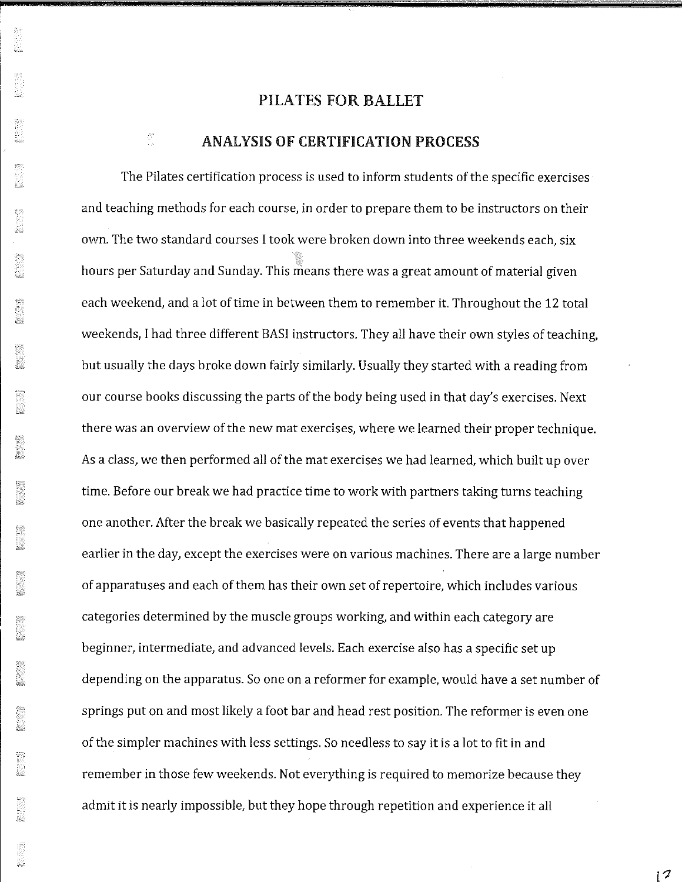#### ANALYSIS OF CERTIFICATION PROCESS

an<br>T

The Pilates certification process is used to inform students of the specific exercises and teaching methods for each course, in order to prepare them to be instructors on their own. The two standard courses I took were broken down into three weekends each, six hours per Saturday and Sunday. This means there was a great amount of material given each weekend, and a lot of time in between them to remember it. Throughout the 12 total weekends, I had three different BASI instructors. They all have their own styles of teaching, but usually the days broke down fairly similarly. Usually they started with a reading from our course books discussing the parts of the body being used in that day's exercises. Next there was an overview of the new mat exercises, where we learned their proper technique. As a class, we then performed all of the mat exercises we had learned, which built up over time. Before our break we had practice time to work with partners taking turns teaching one another. After the break we basically repeated the series of events that happened earlier in the day, except the exercises were on various machines. There are a large number of apparatuses and each of them has their own set ofrepertoire, which includes various categories determined by the muscle groups working, and within each category are beginner, intermediate, and advanced levels. Each exercise also has a specific set up depending on the apparatus. So one on a reformer for example, would have a set number of springs put on and most likely a foot bar and head rest position. The reformer is even one of the simpler machines with less settings. So needless to say it is a lot to fit in and remember in those few weekends. Not everything is required to memorize because they admit it is nearly impossible, but they hope through repetition and experience it all

 $12$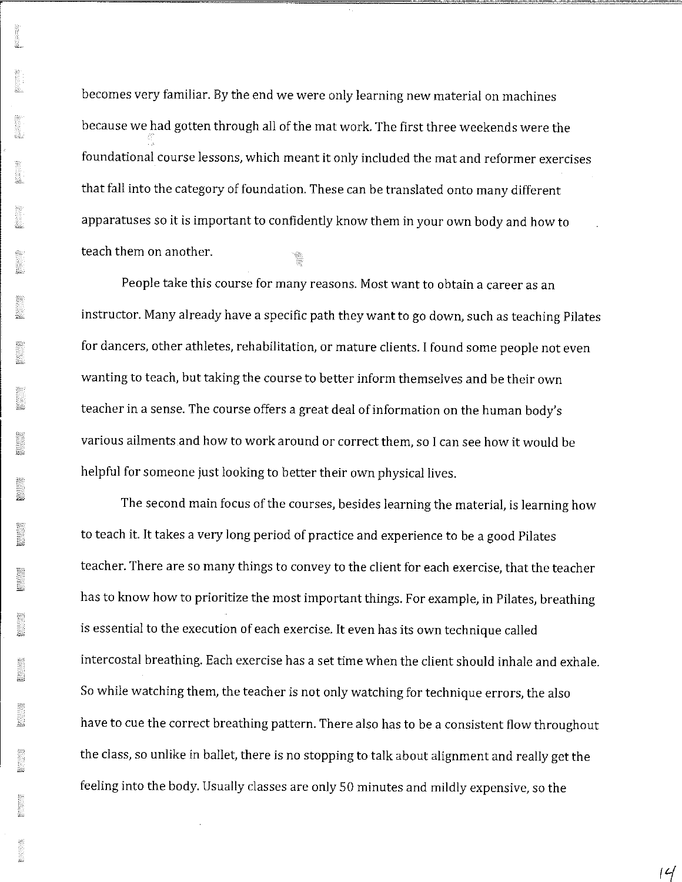becomes very familiar. By the end we were only learning new material on machines because we had gotten through all of the mat work. The first three weekends were the foundational course lessons, which meant it only included the mat and reformer exercises that fall into the category of foundation. These can be translated onto many different apparatuses so it is important to confidently know them in your own body and how to teach them on another.

People take this course for many reasons. Most want to obtain a career as an instructor. Many already have a specific path they want to go down, such as teaching Pilates for dancers, other athletes, rehabilitation, or mature clients. I found some people not even wanting to teach, but taking the course to better inform themselves and be their own teacher in a sense. The course offers a great deal of information on the human body's various ailments and how to work around or correct them, so I can see how it would be helpful for someone just looking to better their own physical lives.

The second main focus of the courses, besides learning the material, is learning how to teach it. It takes a very long period of practice and experience to be a good Pilates teacher. There are so many things to convey to the client for each exercise, that the teacher has to know how to prioritize the most important things. For example, in Pilates, breathing is essential to the execution of each exercise. It even has its own technique called intercostal breathing. Each exercise has a set time when the client should inhale and exhale. So while watching them, the teacher is not only watching for technique errors, the also have to cue the correct breathing pattern. There also has to be a consistent flow throughout the class, so unlike in ballet, there is no stopping to talk about alignment and really get the feeling into the body. Usually classes are only 50 minutes and mildly expensive, so the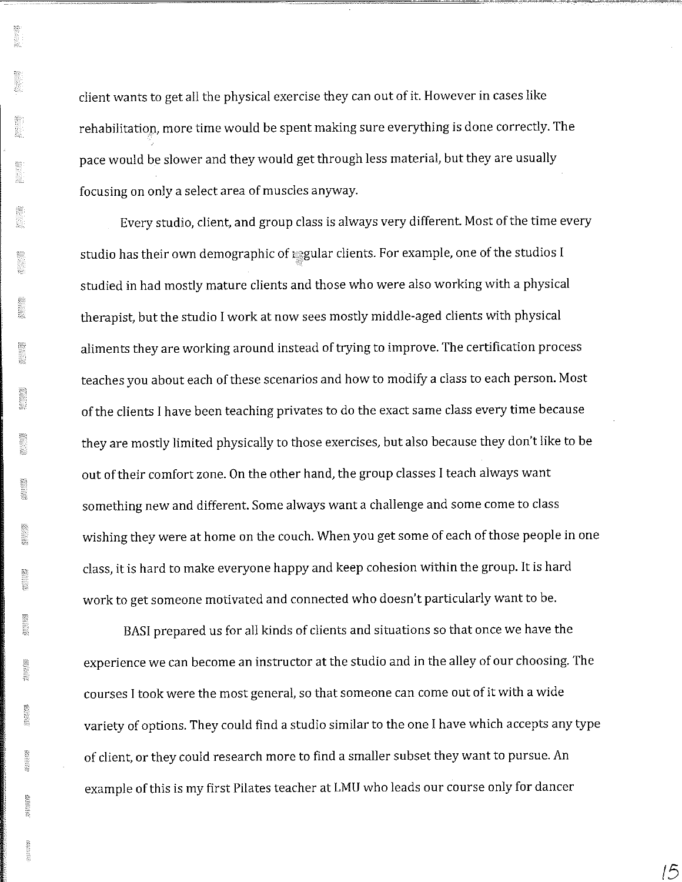ä.

client wants to get all the physical exercise they can out of it. However in cases like rehabilitation, more time would be spent making sure everything is done correctly. The pace would be slower and they would get through less material, but they are usually focusing on only a select area of muscles anyway.

Every studio, client, and group class is always very different. Most of the time every studio has their own demographic of regular clients. For example, one of the studios I studied in had mostly mature clients and those who were also working with a physical therapist, but the studio I work at now sees mostly middle-aged clients with physical aliments they are working around instead of trying to improve. The certification process teaches you about each of these scenarios and how to modify a class to each person. Most of the clients I have been teaching privates to do the exact same class every time because they are mostly limited physically to those exercises, but also because they don't like to be out of their comfort zone. On the other hand, the group classes I teach always want something new and different. Some always want a challenge and some come to class wishing they were at home on the couch. When you get some of each of those people in one class, it is hard to make everyone happy and keep cohesion within the group. It is hard work to get someone motivated and connected who doesn't particularly want to be.

BAS! prepared us for all kinds of clients and situations so that once we have the experience we can become an instructor at the studio and in the alley of our choosing. The courses I took were the most general, so that someone can come out of it with a wide variety of options. They could find a studio similar to the one I have which accepts any type of client, or they could research more to find a smaller subset they want to pursue. An example of this is my first Pilates teacher at LMU who leads our course only for dancer

*!5*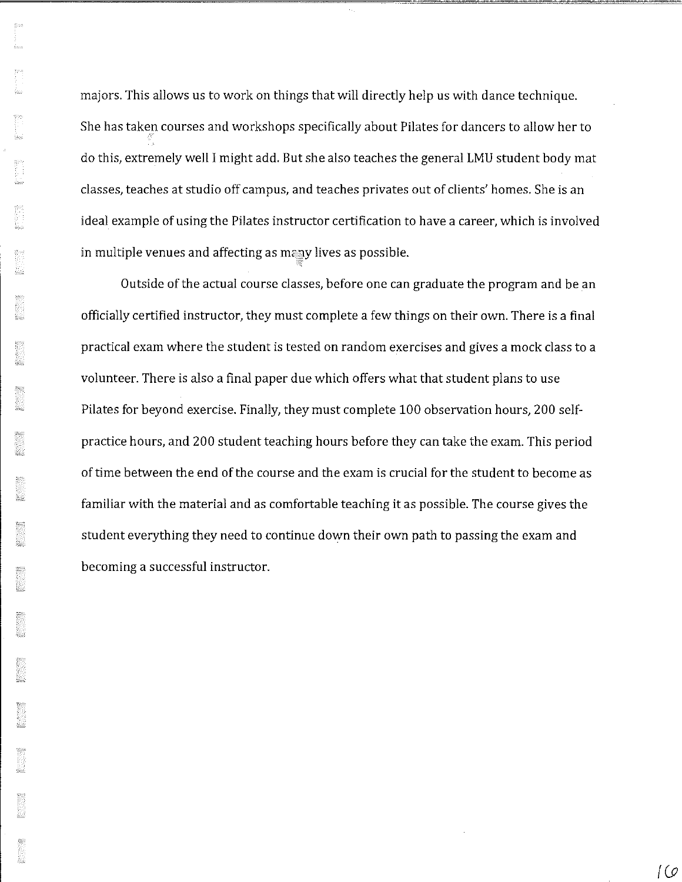majors. This allows us to work on things that will directly help us with dance technique. She has taken courses and workshops specifically about Pilates for dancers to allow her to do this, extremely well I might add. But she also teaches the general LMU student body mat classes, teaches at studio off campus, and teaches privates out of clients' homes. She is an ideal example of using the Pilates instructor certification to have a career, which is involved in multiple venues and affecting as many lives as possible.

Outside of the actual course classes, before one can graduate the program and be an officially certified instructor, they must complete a few things on their own. There is a final practical exam where the student is tested on random exercises and gives a mock class to a volunteer. There is also a final paper due which offers what that student plans to use Pilates for beyond exercise. Finally, they must complete 100 observation hours, 200 selfpractice hours, and 200 student teaching hours before they can take the exam. This period of time between the end of the course and the exam is crucial for the student to become as familiar with the material and as comfortable teaching it as possible. The course gives the student everything they need to continue down their own path to passing the exam and becoming a successful instructor.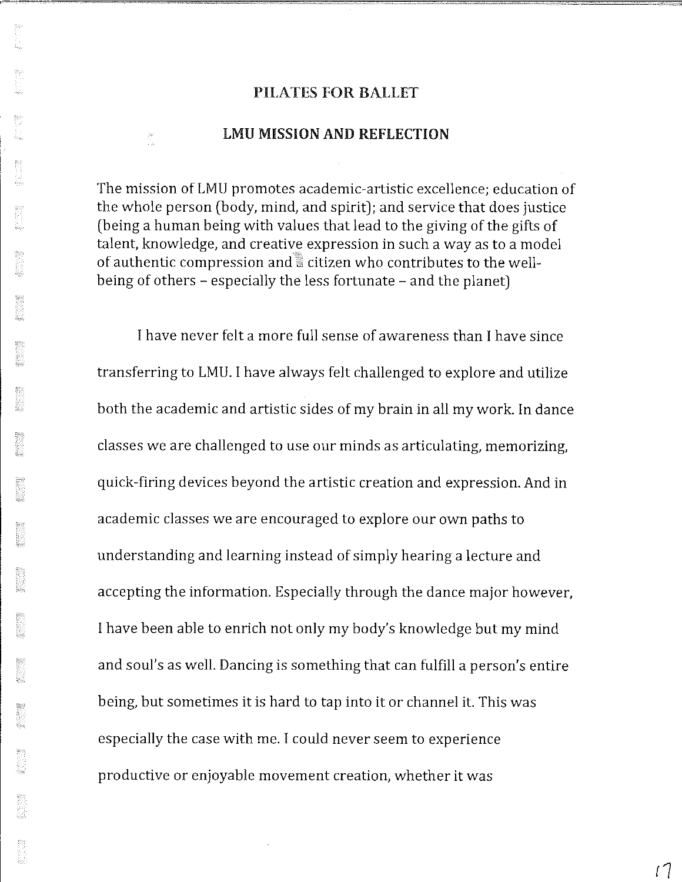#### LMU MISSION AND REFLECTION

 $\frac{\lambda_{\rm P}^{\rm Q}}{\lambda_{\rm P}^2}$ 

The mission of LMU promotes academic-artistic excellence; education of the whole person (body, mind, and spirit); and service that does justice (being a human being with values that lead to the giving of the gifts of talent, knowledge, and creative expression in such a way as to a model of authentic compression and  $\ddot{\phantom{a}}$  citizen who contributes to the wellbeing of others - especially the less fortunate - and the planet)

I have never felt a more full sense of awareness than I have since transferring to LMU. I have always felt challenged to explore and utilize both the academic and artistic sides of my brain in all my work In dance classes we are challenged to use our minds as articulating, memorizing, quick-firing devices beyond the artistic creation and expression. And in academic classes we are encouraged to explore our own paths to understanding and learning instead of simply hearing a lecture and accepting the information. Especially through the dance major however, I have been able to enrich not only my body's knowledge but my mind and soul's as well. Dancing is something that can fulfill a person's entire being, but sometimes it is hard to tap into it or channel it. This was especially the case with me. I could never seem to experience productive or enjoyable movement creation, whether it was

 $17$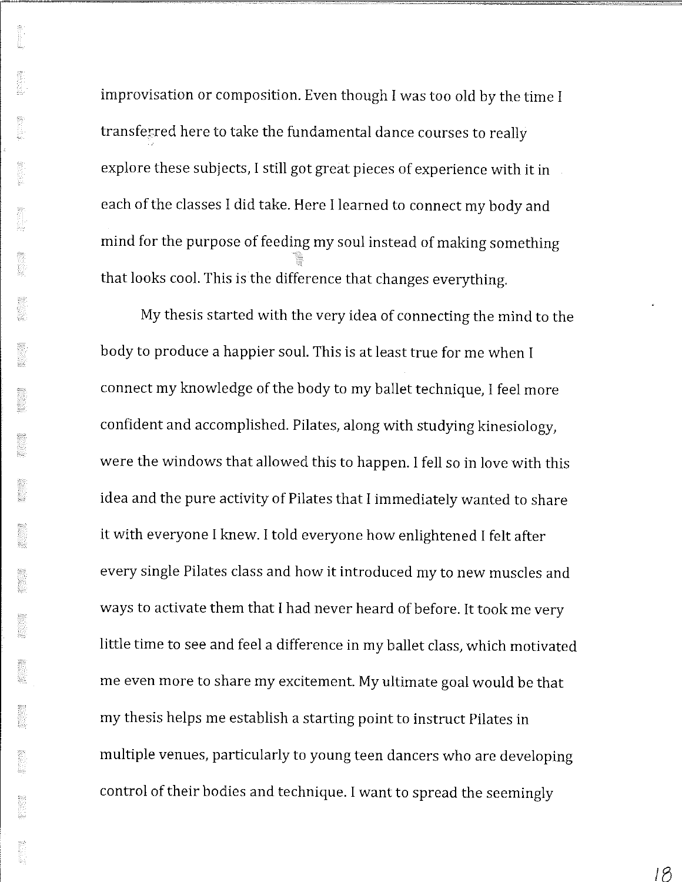improvisation or composition. Even though I was too old by the time I transferred here to take the fundamental dance courses to really explore these subjects, I still got great pieces of experience with it in each of the classes I did take. Here I learned to connect my body and mind for the purpose of feeding my soul instead of making something that looks cool. This is the difference that changes everything.

My thesis started with the very idea of connecting the mind to the body to produce a happier soul. This is at least true for me when I connect my knowledge of the body to my ballet technique, I feel more confident and accomplished. Pilates, along with studying kinesiology, were the windows that allowed this to happen. I fell so in love with this idea and the pure activity of Pilates that I immediately wanted to share it with everyone I knew. I told everyone how enlightened I felt after every single Pilates class and how it introduced my to new muscles and ways to activate them that I had never heard of before. It took me very little time to see and feel a difference in my ballet class, which motivated me even more to share my excitement. My ultimate goal would be that my thesis helps me establish a starting point to instruct Pilates in multiple venues, particularly to young teen dancers who are developing control of their bodies and technique. I want to spread the seemingly

IB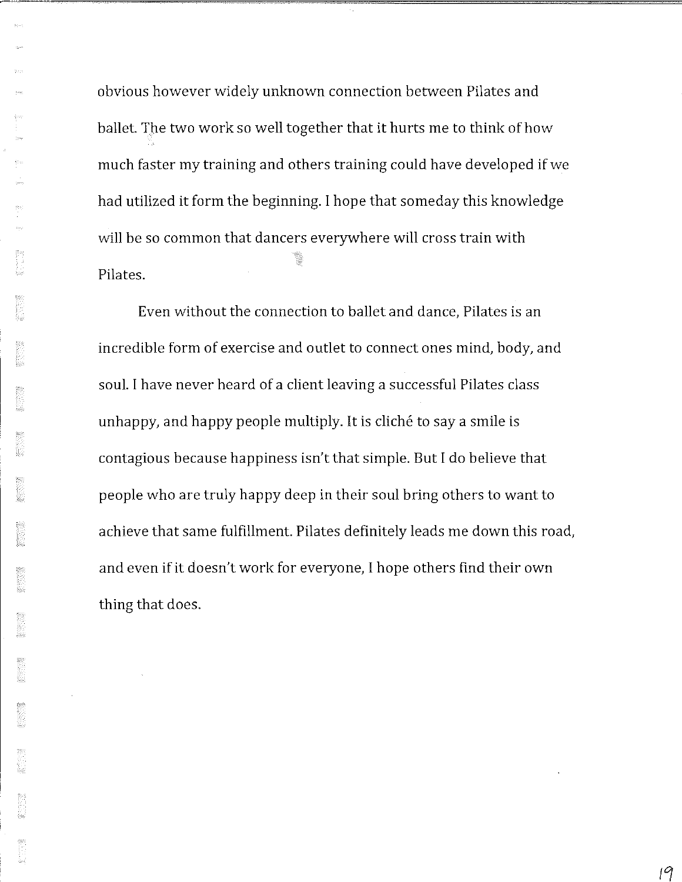obvious however widely unknown connection between Pilates and ballet. The two work so well together that it hurts me to think of how much faster my training and others training could have developed if we had utilized it form the beginning. I hope that someday this knowledge will be so common that dancers everywhere will cross train with Pilates.

Even without the connection to ballet and dance, Pilates is an incredible form of exercise and outlet to connect ones mind, body, and soul. I have never heard of a client leaving a successful Pilates class unhappy, and happy people multiply. It is cliché to say a smile is contagious because happiness isn't that simple. But I do believe that people who are truly happy deep in their soul bring others to want to achieve that same fulfillment. Pilates definitely leads me down this road, and even if it doesn't work for everyone, I hope others find their own thing that does.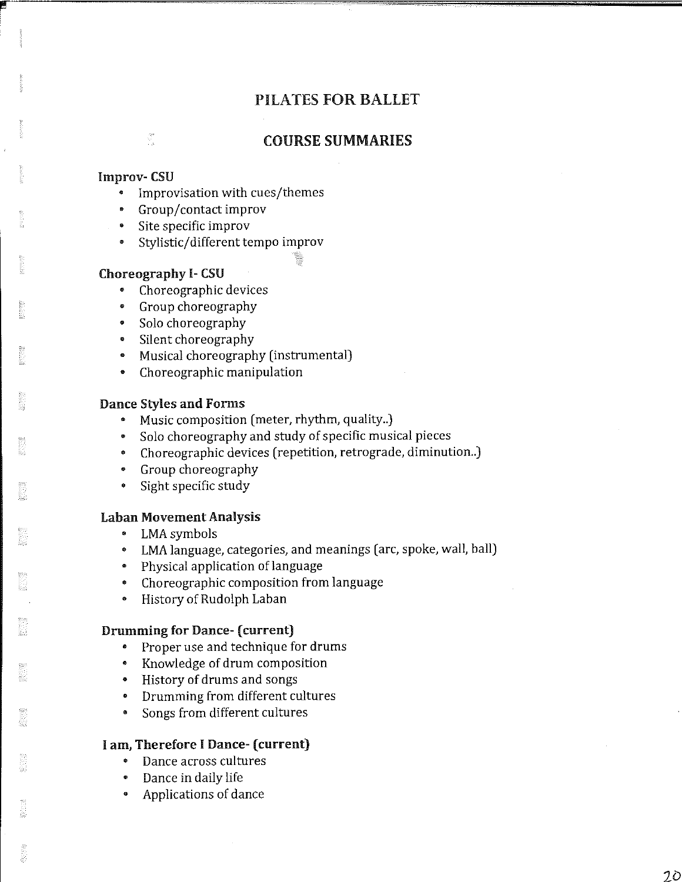#### COURSE SUMMARIES

#### Improv- CSU

 $\frac{\partial \mathcal{D}}{\partial \mathcal{D}}$ 

- Improvisation with cues/themes
- Group/contact improv
- Site specific improv
- Stylistic/ different tempo improv

#### **Choreography I-CSU**

- Choreographic devices
- Group choreography
- Solo choreography
- Silent choreography
- Musical choreography (instrumental)
- Choreographic manipulation

#### **Dance Styles and Forms**

- Music composition (meter, rhythm, quality..)
- Solo choreography and study of specific musical pieces
- Choreographic devices (repetition, retrograde, diminution..)
- Group choreography
- Sight specific study

#### **Laban Movement Analysis**

- LMA symbols
- LMA language, categories, and meanings (arc, spoke, wall, ball)
- Physical application of language
- Choreographic composition from language
- History of Rudolph Laban

#### **Drumming for Dance-** ( **current)**

- Proper use and technique for drums
- Knowledge of drum composition
- History of drums and songs
- Drumming from different cultures
- Songs from different cultures

#### I **am, Therefore** I **Dance- (current)**

- Dance across cultures
- Dance in daily life
- Applications of dance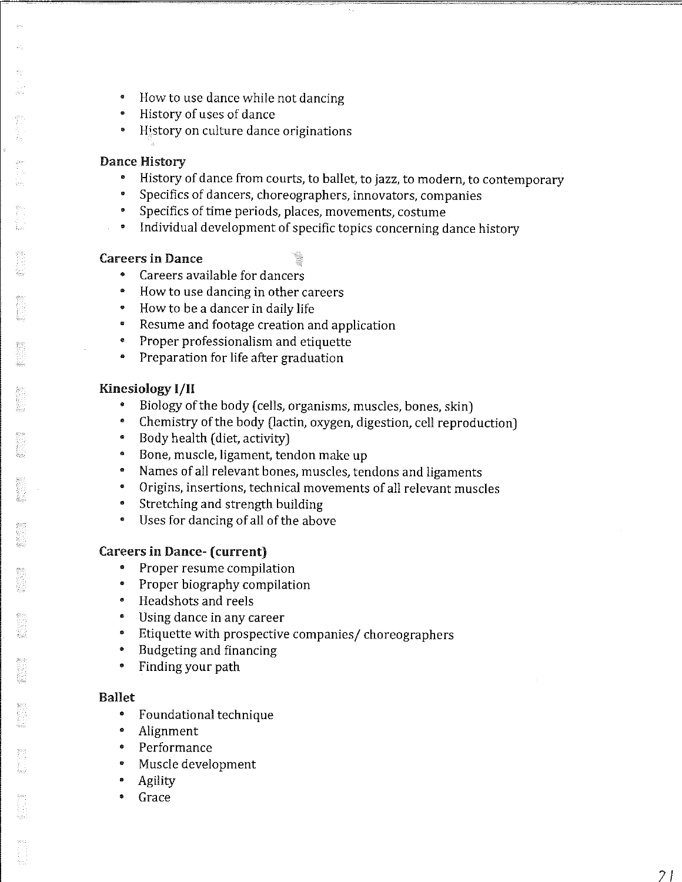- How to use dance while not dancing
- History of uses of dance
- History on culture dance originations

#### **Dance History**

- History of dance from courts, to ballet, to jazz, to modern, to contemporary
- Specifics of dancers, choreographers, innovators, companies
- Specifics of time periods, places, movements, costume
- Individual development of specific topics concerning dance history

#### **Careers in Dance**

- 
- Careers available for dancers
- How to use dancing in other careers
- How to be a dancer in daily life
- Resume and footage creation and application
- Proper professionalism and etiquette
- Preparation for life after graduation

### **Kinesiology 1/H**

- Biology of the body (cells, organisms, muscles, bones, skin)
- Chemistry of the body (lactin, oxygen, digestion, cell reproduction)
- Body health (diet, activity)
- Bone, muscle, ligament, tendon make up
- Names of all relevant bones, muscles, tendons and ligaments
- Origins, insertions, technical movements of all relevant muscles
- Stretching and strength building
- Uses for dancing of all of the above

#### **Careers in Dance-** ( **current)**

- Proper resume compilation
- Proper biography compilation
- Headshots and reels
- Using dance in any career
- Etiquette with prospective companies/ choreographers
- Budgeting and financing
- Finding your path

#### **Ballet**

- Foundational technique
- Alignment
- Performance
- Muscle development
- Agility
- Grace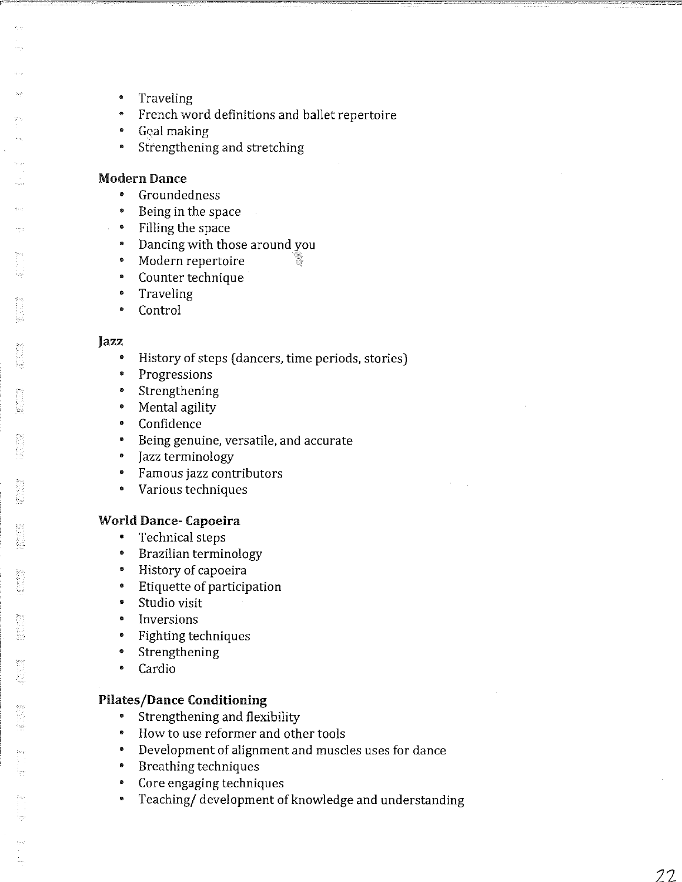- $\bullet$ **Traveling**
- French word definitions and ballet repertoire
- Goal making
- Strengthening and stretching

#### Modern Dance

- Groundedness
- Being in the space
- Filling the space
- Dancing with those around you
- Modern repertoire
- Counter technique
- Traveling
- Control

#### Jazz

- $\bullet$ History of steps ( dancers, time periods, stories)
- $\bullet$ Progressions
- $\bullet$ Strengthening
- Mental agility
- $\bullet$ Confidence
- $\bullet$ Being genuine, versatile, and accurate
- $\bullet$ Jazz terminology
- Famous jazz contributors
- $\bullet$ Various techniques

#### **World Dance- Capoeira**

- Technical steps
- Brazilian terminology
- History of capoeira
- Etiquette of participation
- $\bullet$ Studio visit
- Inversions
- $\bullet$ Fighting techniques
- Strengthening
- $\bullet$ Cardio

#### **Pilates/Dance Conditioning**

- Strengthening and flexibility
- $\bullet$ How to use reformer and other tools
- Development of alignment and muscles uses for dance
- Breathing techniques
- Core engaging techniques
- Teaching/ development of knowledge and understanding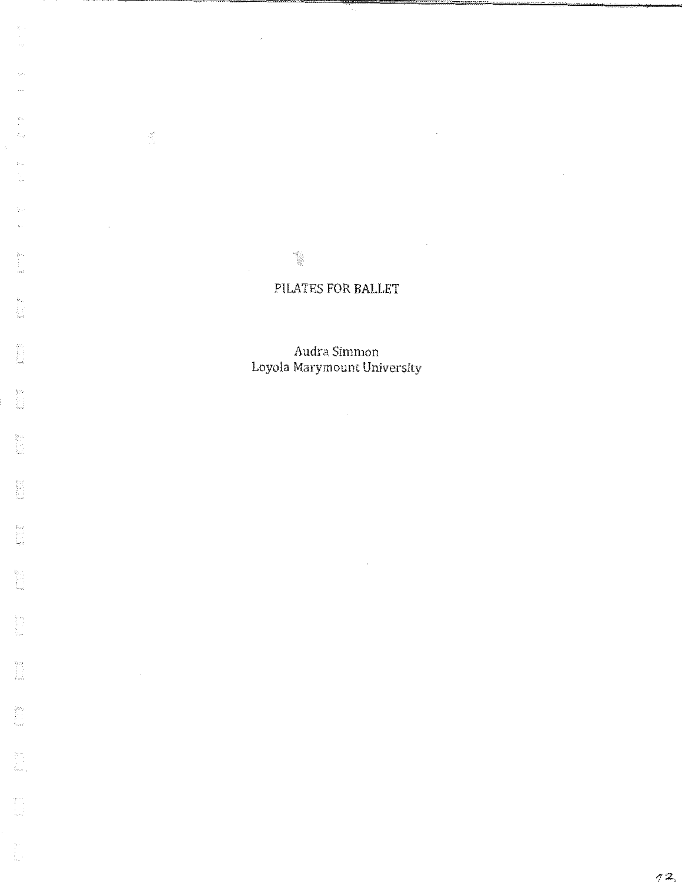t.

 $\bar{\mathcal{A}}$ 

 $\sim$ 

 $\mathcal{L}$ 

 $\bar{z}$ 

 $\overline{\phantom{a}}$ 

 $\frac{\partial \mathcal{E}^{\text{tr}}}{\partial \mathcal{E}^{\text{tr}}_{\text{tr}}},$ 

 $\sim$ 

the product of the control of the control of the control of the control of the control of the control of the control of the control of the control of the control of the control of the control of the control of the control

**Mana** 

**MAG** 

ing<br>List

in 1993<br>Ngjarje

 $\begin{array}{c} \Omega^{\pm}_{\pm} \sim \Omega^{\pm}_{\pm} \\ \frac{1}{\lambda} \sim \frac{1}{\lambda} \\ \frac{1}{\lambda} \sim \lambda \end{array}$ 

**Manager** 

 $\begin{bmatrix} \mathbb{S}^1 \\ \mathbb{S}^1 \\ \mathbb{S}^1 \\ \mathbb{S}^1 \end{bmatrix}$ 

yn<br>Li

 $\begin{bmatrix} 1 & 0 \\ 0 & 1 \end{bmatrix}$ 

ÿ. ÷

Audra Simmon Loyola Marymount University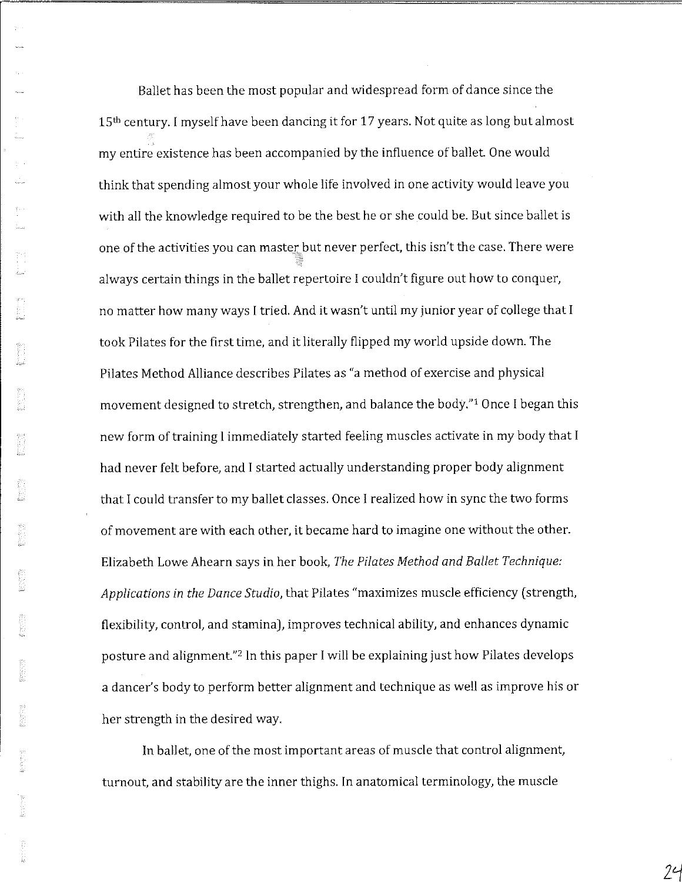Ballet has been the most popular and widespread form of dance since the 15<sup>th</sup> century. I myself have been dancing it for 17 years. Not quite as long but almost my entire existence has been accompanied by the influence of ballet. One would think that spending almost your whole life involved in one activity would leave you with all the knowledge required to be the best he or she could be. But since ballet is one of the activities you can master but never perfect, this isn't the case. There were always certain things in the ballet repertoire I couldn't figure out how to conquer, no matter how many ways I tried. And it wasn't until my junior year of college that I took Pilates for the first time, and it literally flipped my world upside down. The Pilates Method Alliance describes Pilates as "a method of exercise and physical movement designed to stretch, strengthen, and balance the body." 1 Once I began this new form of training I immediately started feeling muscles activate in my body that I had never felt before, and I started actually understanding proper body alignment that I could transfer to my ballet classes. Once I realized how in sync the two forms of movement are with each other, it became hard to imagine one without the other. Elizabeth Lowe Ahearn says in her book, *The Pi/ates Method and Ballet Technique: Applications in the Dance Studio,* that Pilates "maximizes muscle efficiency (strength, flexibility, control, and stamina), improves technical ability, and enhances dynamic posture and alignment."2 In this paper I will be explaining just how Pilates develops a dancer's body to perform better alignment and technique as well as improve his or her strength in the desired way.

In ballet, one of the most important areas of muscle that control alignment, turnout, and stability are the inner thighs. In anatomical terminology, the muscle

 $24$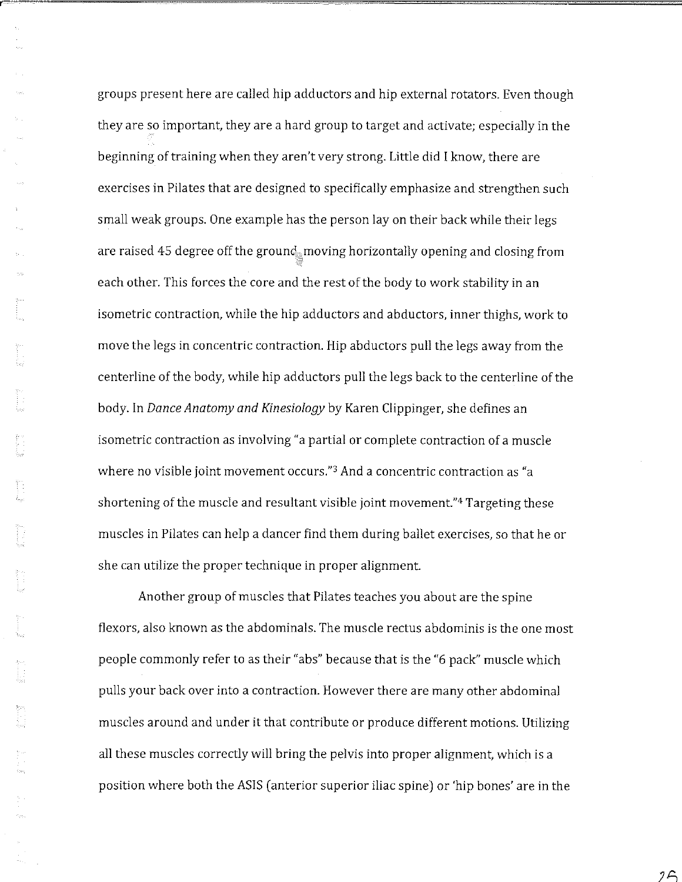groups present here are called hip adductors and hip external rotators. Even though they are so important, they are a hard group to target and activate; especially in the beginning of training when they aren't very strong. Little did I know, there are exercises in Pilates that are designed to specifically emphasize and strengthen such small weak groups. One example has the person lay on their back while their legs are raised 45 degree off the ground moving horizontally opening and closing from each other. This forces the core and the rest of the body to work stability in an isometric contraction, while the hip adductors and abductors, inner thighs, work to move the legs in concentric contraction. Hip abductors pull the legs away from the centerline of the body, while hip adductors pull the legs back to the centerline of the body. In *Dance Anatomy and Kinesiology* by Karen Clippinger, she defines an isometric contraction as involving "a partial or complete contraction of a muscle where no visible joint movement occurs."<sup>3</sup> And a concentric contraction as "a shortening of the muscle and resultant visible joint movement."4 Targeting these muscles in Pilates can help a dancer find them during ballet exercises, so that he or she can utilize the proper technique in proper alignment.

Another group of muscles that Pilates teaches you about are the spine flexors, also known as the abdominals. The muscle rectus abdominis is the one most people commonly refer to as their "abs" because that is the "6 pack" muscle which pulls your back over into a contraction. However there are many other abdominal muscles around and under it that contribute or produce different motions. Utilizing all these muscles correctly will bring the pelvis into proper alignment, which is a position where both the ASIS (anterior superior iliac spine) or 'hip bones' are in the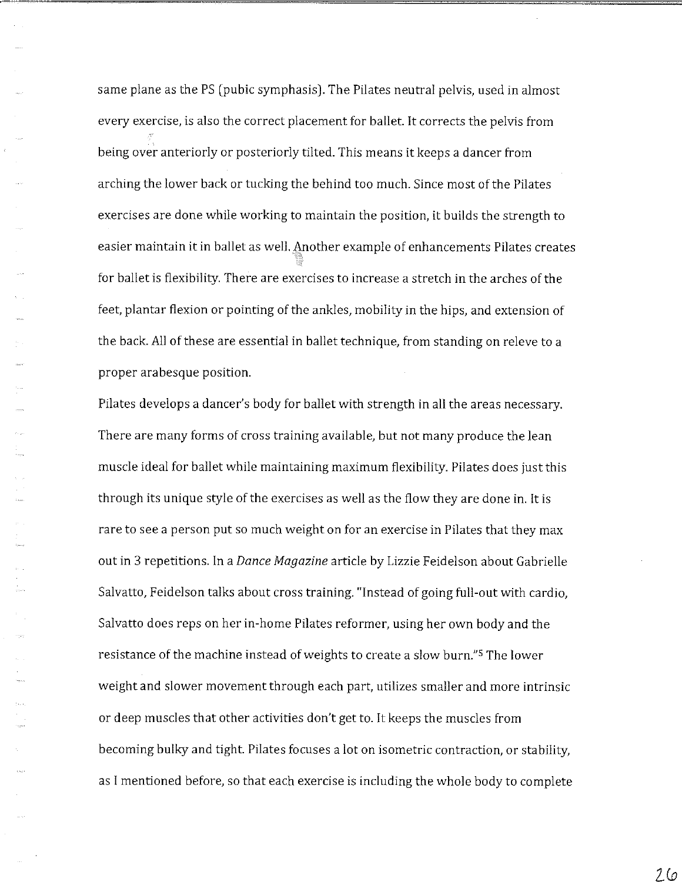same plane as the PS (pubic symphasis). The Pilates neutral pelvis, used in almost every exercise, is also the correct placement for ballet. It corrects the pelvis from being over anteriorly or posteriorly tilted. This means it keeps a dancer from arching the lower back or tucking the behind too much. Since most of the Pilates exercises are done while working to maintain the position, it builds the strength to easier maintain it in ballet as well. Another example of enhancements Pilates creates for ballet is flexibility. There are exercises to increase a stretch in the arches of the feet, plantar flexion or pointing of the ankles, mobility in the hips, and extension of the back. All of these are essential in ballet technique, from standing on releve to a proper arabesque position.

Pilates develops a dancer's body for ballet with strength in all the areas necessary. There are many forms of cross training available, but not many produce the lean muscle ideal for ballet while maintaining maximum flexibility. Pilates does just this through its unique style of the exercises as well as the flow they are done in. It is rare to see a person put so much weight on for an exercise in Pilates that they max out in 3 repetitions. In a *Dance Magazine* article by Lizzie Feidelson about Gabrielle Salvatto, Feidelson talks about cross training. "Instead of going full-out with cardio, Salvatto does reps on her in-home Pilates reformer, using her own body and the resistance of the machine instead of weights to create a slow burn."5 The lower weight and slower movement through each part, utilizes smaller and more intrinsic or deep muscles that other activities don't get to. It keeps the muscles from becoming bulky and tight. Pilates focuses a lot on isometric contraction, or stability, as I mentioned before, so that each exercise is including the whole body to complete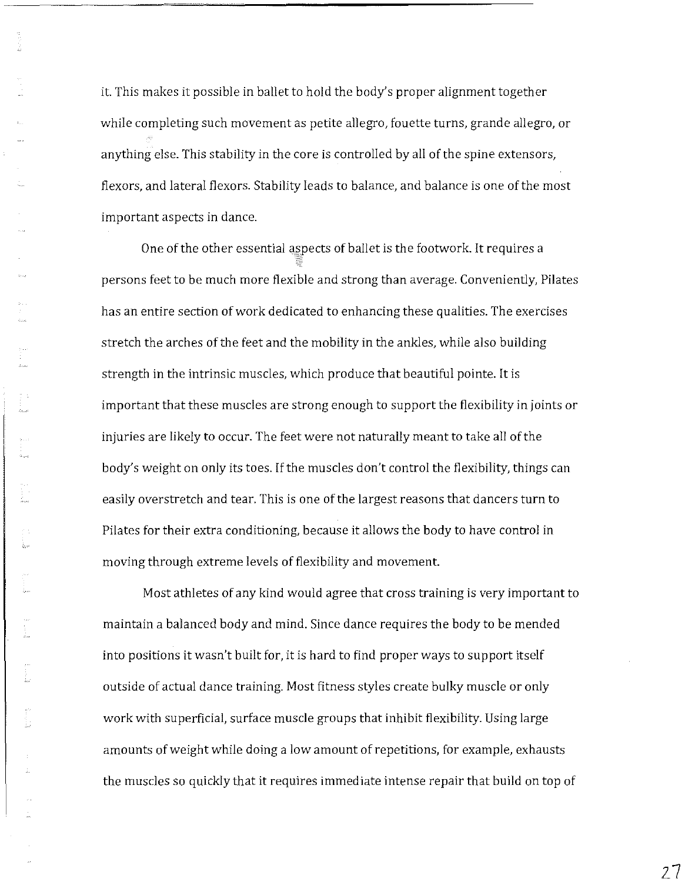it. This makes it possible in ballet to hold the body's proper alignment together while completing such movement as petite allegro, fouette turns, grande allegro, or anything else. This stability in the core is controlled by all of the spine extensors, flexors, and lateral flexors. Stability leads to balance, and balance is one of the most important aspects in dance.

One of the other essential aspects of ballet is the footwork. It requires a persons feet to be much more flexible and strong than average. Conveniently, Pilates has an entire section of work dedicated to enhancing these qualities. The exercises stretch the arches of the feet and the mobility in the ankles, while also building strength in the intrinsic muscles, which produce that beautiful pointe. It is important that these muscles are strong enough to support the flexibility in joints or injuries are likely to occur. The feet were not naturally meant to take all of the body's weight on only its toes. If the muscles don't control the flexibility, things can easily overstretch and tear. This is one of the largest reasons that dancers turn to Pilates for their extra conditioning, because it allows the body to have control in moving through extreme levels of flexibility and movement.

Most athletes of any kind would agree that cross training is very important to maintain a balanced body and mind. Since dance requires the body to be mended into positions it wasn't built for, it is hard to find proper ways to support itself outside of actual dance training. Most fitness styles create bulky muscle or only work with superficial, surface muscle groups that inhibit flexibility. Using large amounts of weight while doing a low amount of repetitions, for example, exhausts the muscles so quickly that it requires immediate intense repair that build on top of

27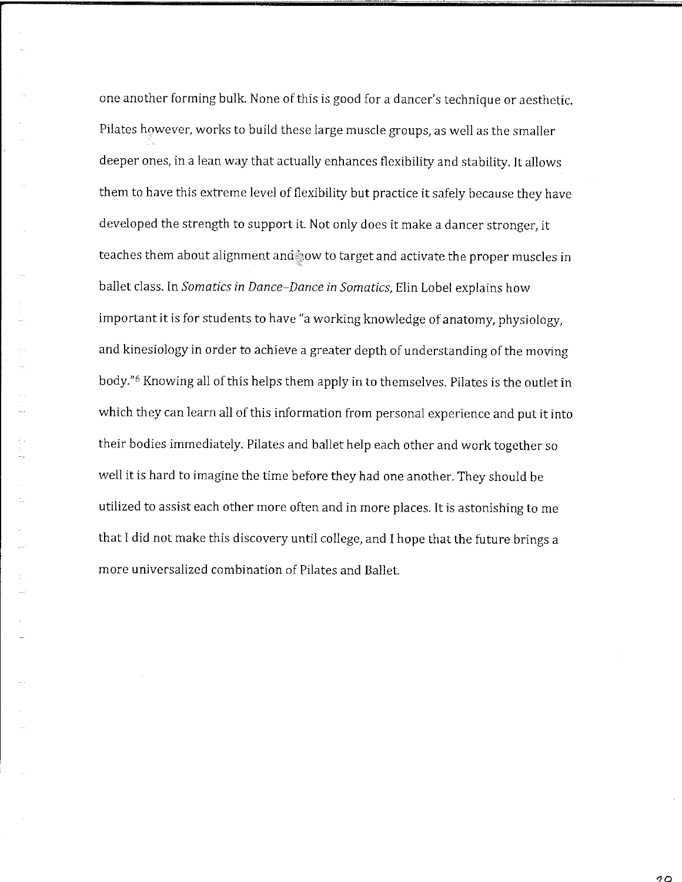one another forming bulk. None of this is good for a dancer's technique or aesthetic. Pilates however, works to build these large muscle groups, as well as the smaller deeper ones, in a lean way that actually enhances flexibility and stability. It allows them to have this extreme level of flexibility but practice it safely because they have developed the strength to support it Not only does it make a dancer stronger, it teaches them about alignment and now to target and activate the proper muscles in ballet class. In *Somatics in Dance-Dance in Somatics,* Elin Lobel explains how important it is for students to have "a working knowledge of anatomy, physiology, and kinesiology in order to achieve a greater depth of understanding of the moving body."<sup>6</sup> Knowing all of this helps them apply in to themselves. Pilates is the outlet in which they can learn all of this information from personal experience and put it into their bodies immediately. Pilates and ballet help each other and work together so well it is hard to imagine the time before they had one another. They should be utilized to assist each other more often and in more places. It is astonishing to me that I did not make this discovery until college, and I hope that the future brings a more universalized combination of Pilates and Ballet

っつ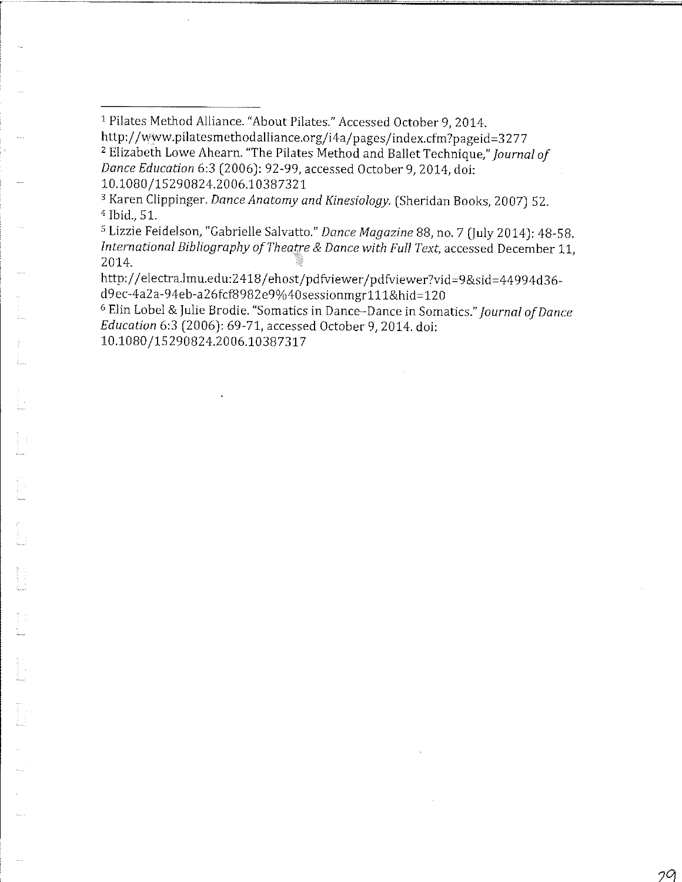1 Pilates Method Alliance. "About Pilates." Accessed October 9, 2014. http://www.pilatesmethodalliance.org/i4a/pages/index.cfm?pageid=3277 <sup>2</sup>Elizabeth Lowe Ahearn. "The Pilates Method and Ballet Technique," *Journal of Dance Education* 6:3 (2006): 92-99, accessed October 9, 2014, doi:

10.1080 /15 2 90824.20 06.10387321

<sup>3</sup>Karen Clippinger. *Dance Anatomy and Kinesiology.* (Sheridan Books, 2007) 52. <sup>4</sup> Ibid.,51.

<sup>5</sup>Lizzie Feidelson, "Gabrielle Salvatto." *Dance Magazine* 88, no. 7 (July 2014): 48-58. *International Bibliography of Theatre & Dance with Full Text,* accessed December 11, 2014.

http://electra.lmu.edu:2418 / ehost/pdfviewer /pdfviewer?vid=9&sid=44994d36 d 9 ec-4a2 a-94eb-a2 6fcf8 98 2 e9%40 sessionmgrl 1 l&hid = 12 0

<sup>6</sup>Elin Lobel & Julie Brodie. "Somatics in Dance-Dance in Somatics." *Journal of Dance Education* 6:3 (2006): 69-71, accessed October 9, 2014. doi:

10.1080/15290824.2006.10387317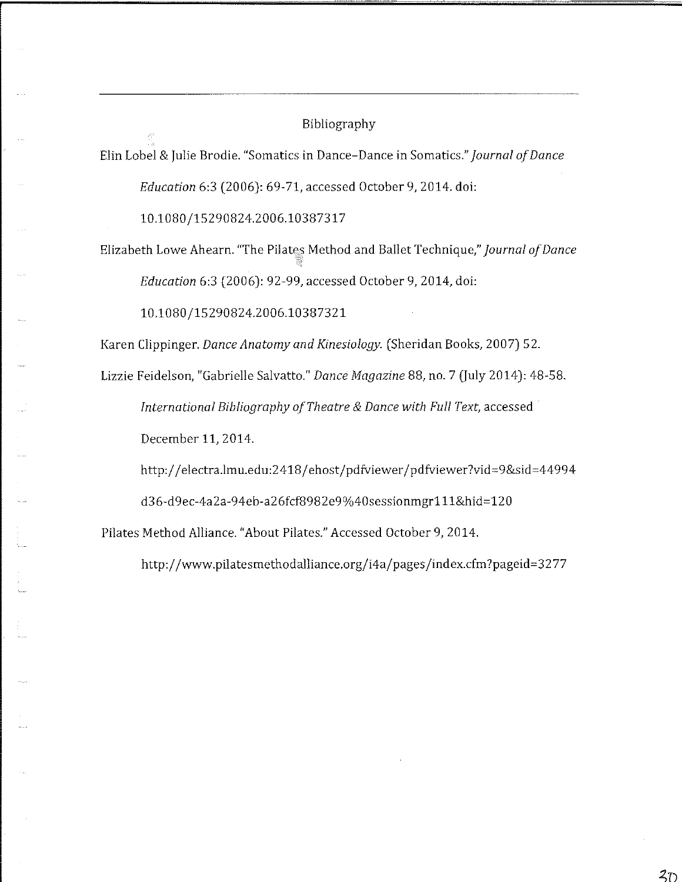#### Bibliography

Elin Lobel & Julie Brodie. "Somatics in Dance-Dance in Somatics." *Journal of Dance* 

*Education* 6:3 (2006): 69-71, accessed October 9, 2014. doi:

10.1080 /15290824.2 006.10387317

Elizabeth Lowe Ahearn. "The Pilates Method and Ballet Technique," *Journal of Dance Education* 6:3 (2006): 92-99, accessed October 9, 2014, doi:

10.1080 /15290824.2006.10387321

Karen Clippinger. *Dance Anatomy and Kinesio/ogy.* (Sheridan Books, 2007) 52.

Lizzie Feidelson, "Gabrielle Salvatto." *Dance Magazine* 88, no. 7 (July 2014): 48-58. *International Bibliography of Theatre* & *Dance with Full Text,* accessed

December 11, 2014.

http://electra.lmu.edu:2418 / ehost/pdfviewer /pdfviewer?vid=9&sid=44994

d3 6-d 9ec-4a2a-94eb-a2 6fcf898 2e9 %40sessionmgrl 1 l&hid = 12 0

Pilates Method Alliance. "About Pilates." Accessed October 9, 2014.

http://www.pilatesmethodalliance.org/i 4a/pages /index.cfm ?pageid =3 2 77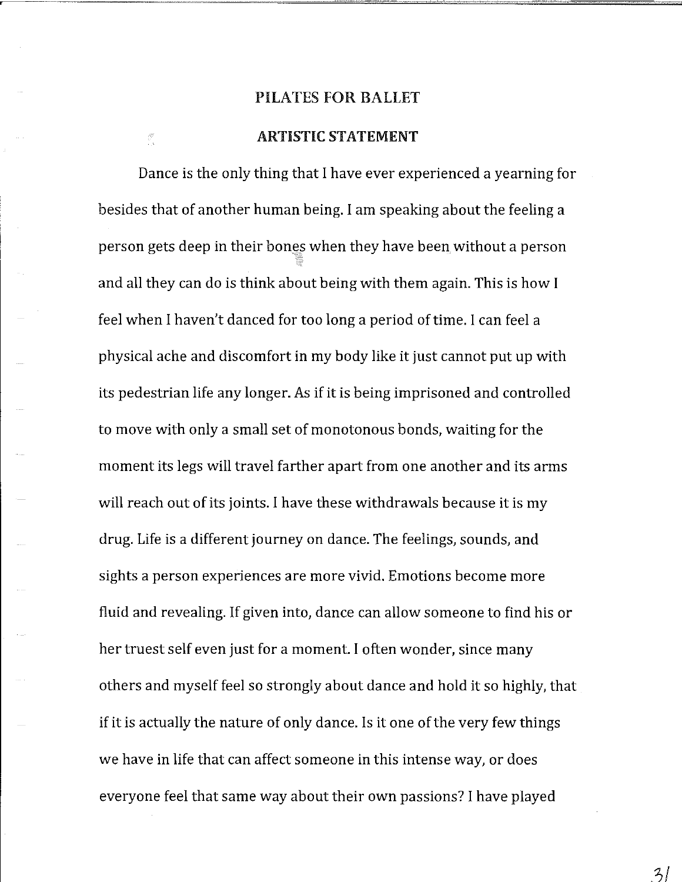#### ARTISTIC STATEMENT

E.

Dance is the only thing that I have ever experienced a yearning for besides that of another human being. I am speaking about the feeling a person gets deep in their bones when they have been without a person and all they can do is think about being with them again. This is how I feel when I haven't danced for too long a period of time. I can feel a physical ache and discomfort in my body like it just cannot put up with its pedestrian life any longer. As if it is being imprisoned and controlled to move with only a small set of monotonous bonds, waiting for the moment its legs will travel farther apart from one another and its arms will reach out of its joints. I have these withdrawals because it is my drug. Life is a different journey on dance. The feelings, sounds, and sights a person experiences are more vivid. Emotions become more fluid and revealing. If given into, dance can allow someone to find his or her truest self even just for a moment. I often wonder, since many others and myself feel so strongly about dance and hold it so highly, that if it is actually the nature of only dance. ls it one of the very few things we have in life that can affect someone in this intense way, or does everyone feel that same way about their own passions? I have played

 $3/$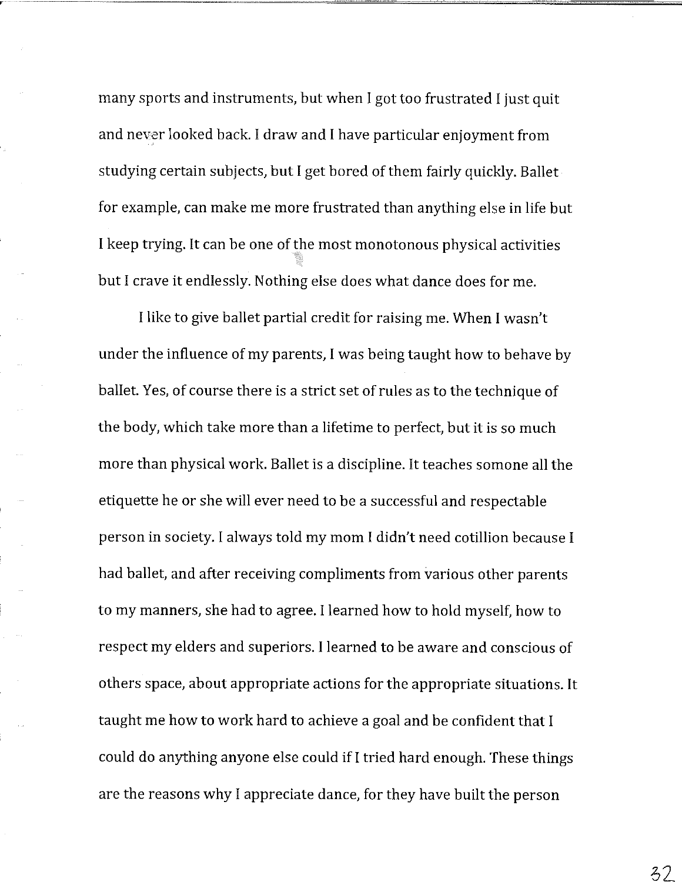many sports and instruments, but when I got too frustrated I just quit and never looked back. I draw and I have particular enjoyment from studying certain subjects, but I get bored of them fairly quickly. Ballet for example, can make me more frustrated than anything else in life but I keep trying. It can be one of the most monotonous physical activities but I crave it endlessly. Nothing else does what dance does for me.

I like to give ballet partial credit for raising me. When I wasn't under the influence of my parents, I was being taught how to behave by ballet. Yes, of course there is a strict set of rules as to the technique of the body, which take more than a lifetime to perfect, but it is so much more than physical work. Ballet is a discipline. It teaches somone all the etiquette he or she will ever need to be a successful and respectable person in society. I always told my mom I didn't need cotillion because I had ballet, and after receiving compliments from various other parents to my manners, she had to agree. I learned how to hold myself, how to respect my elders and superiors. I learned to be aware and conscious of others space, about appropriate actions for the appropriate situations. It taught me how to work hard to achieve a goal and be confident that I could do anything anyone else could if I tried hard enough. These things are the reasons why I appreciate dance, for they have built the person

 $32$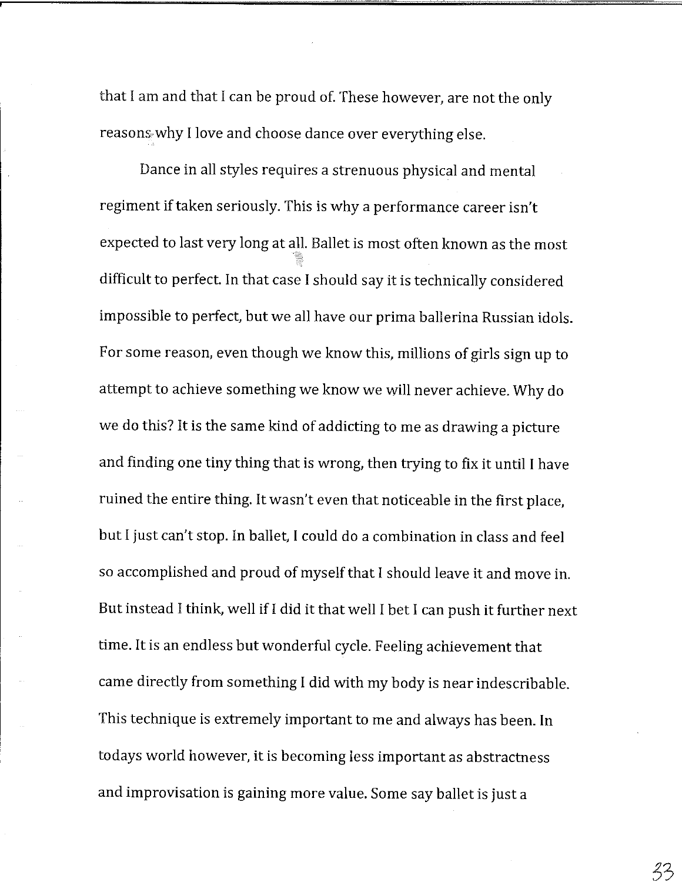that I am and that I can be proud of. These however, are not the only reasons why I love and choose dance over everything else.

Dance in all styles requires a strenuous physical and mental regiment if taken seriously. This is why a performance career isn't expected to last very long at all. Ballet is most often known as the most difficult to perfect. In that case I should say it is technically considered impossible to perfect, but we all have our prima ballerina Russian idols. For some reason, even though we know this, millions of girls sign up to attempt to achieve something we know we will never achieve. Why do we do this? It is the same kind of addicting to me as drawing a picture and finding one tiny thing that is wrong, then trying to fix it until I have ruined the entire thing. It wasn't even that noticeable in the first place, but I just can't stop. In ballet, I could do a combination in class and feel so accomplished and proud of myself that I should leave it and move **in.**  But instead I think, well if I did it that well I bet I can push it further next time. It is an endless but wonderful cycle. Feeling achievement that came directly from something I did with my body is near indescribable. This technique is extremely important to me and always has been. In todays world however, it is becoming less important as abstractness and improvisation is gaining more value. Some say ballet is just a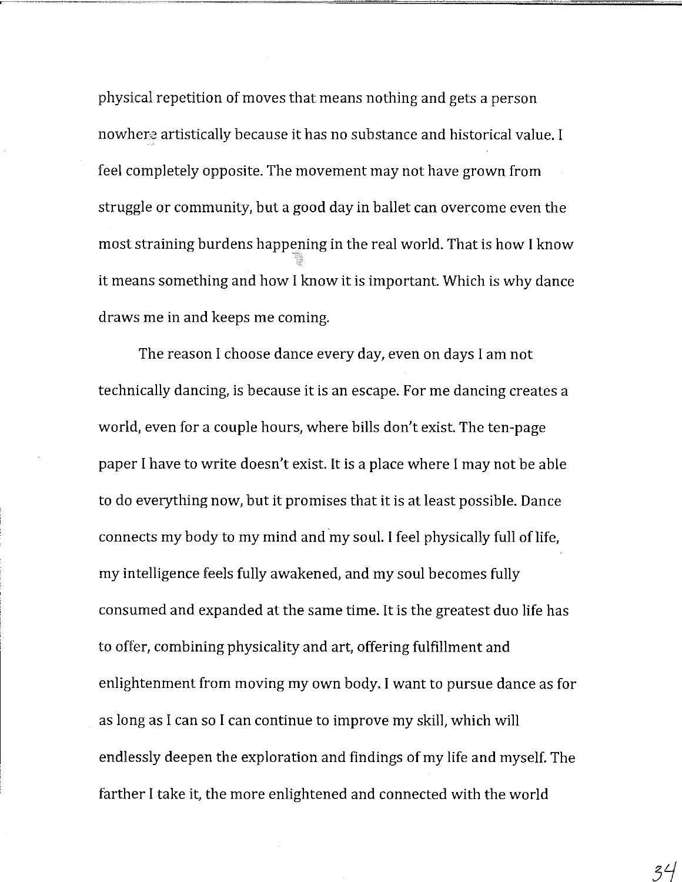physical repetition of moves that means nothing and gets a person nowhere artistically because it has no substance and historical value. I feel completely opposite. The movement may not have grown from struggle or community, but a good day in ballet can overcome even the most straining burdens happening in the real world. That is how I know it means something and how I know it is important. Which is why dance draws me in and keeps me coming.

The reason I choose dance every day, even on days I am not technically dancing, is because it is an escape. For me dancing creates a world, even for a couple hours, where bills don't exist. The ten-page paper I have to write doesn't exist. It is a place where I may not be able to do everything now, but it promises that it is at least possible. Dance connects my body to my mind and my soul. I feel physically full of life, my intelligence feels fully awakened, and my soul becomes fully consumed and expanded at the same time. It is the greatest duo life has to offer, combining physicality and art, offering fulfillment and enlightenment from moving my own body. I want to pursue dance as for as long as I can so I can continue to improve my skill, which will endlessly deepen the exploration and findings of my life and myself. The farther I take it, the more enlightened and connected with the world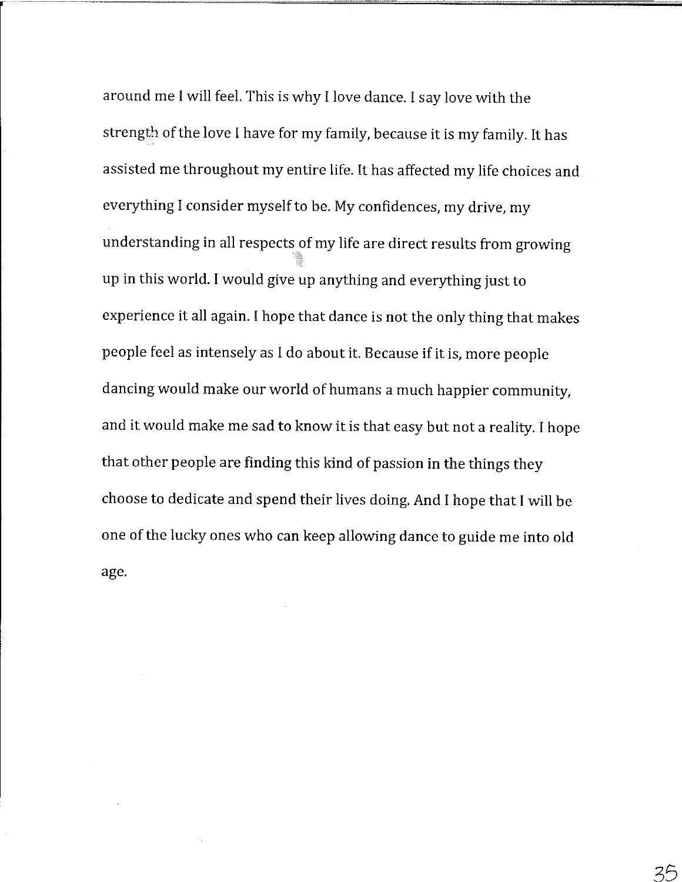around me I will feel. This is why I love dance. I say love with the strength of the love I have for my family, because it is my family. It has assisted me throughout my entire life. It has affected my life choices and everything I consider myself to be. My confidences, my drive, my understanding in all respects of my life are direct results from growing up in this world. I would give up anything and everything just to experience it all again. I hope that dance is not the only thing that makes people feel as intensely as I do about it. Because if it is, more people dancing would make our world of humans a much happier community, and it would make me sad to know it is that easy but not a reality. I hope that other people are finding this kind of passion in the things they choose to dedicate and spend their lives doing. And I hope that I will be one of the lucky ones who can keep allowing dance to guide me into old age.